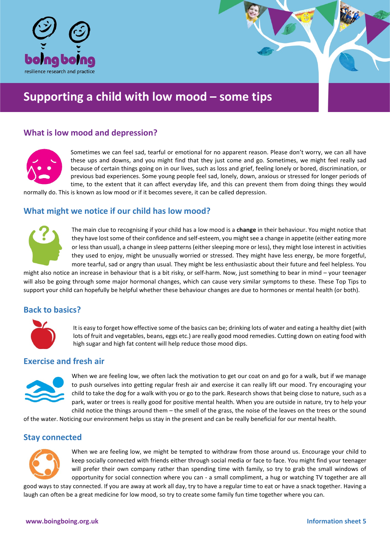

# **Supporting a child with low mood – some tips**

# **What is low mood and depression?**



Sometimes we can feel sad, tearful or emotional for no apparent reason. Please don't worry, we can all have these ups and downs, and you might find that they just come and go. Sometimes, we might feel really sad because of certain things going on in our lives, such as loss and grief, feeling lonely or bored, discrimination, or previous bad experiences. Some young people feel sad, lonely, down, anxious or stressed for longer periods of time, to the extent that it can affect everyday life, and this can prevent them from doing things they would

normally do. This is known as low mood or if it becomes severe, it can be called depression.

## **What might we notice if our child has low mood?**



The main clue to recognising if your child has a low mood is a **change** in their behaviour. You might notice that they have lost some of their confidence and self-esteem, you might see a change in appetite (either eating more or less than usual), a change in sleep patterns (either sleeping more or less), they might lose interest in activities they used to enjoy, might be unusually worried or stressed. They might have less energy, be more forgetful, more tearful, sad or angry than usual. They might be less enthusiastic about their future and feel helpless. You

might also notice an increase in behaviour that is a bit risky, or self-harm. Now, just something to bear in mind – your teenager will also be going through some major hormonal changes, which can cause very similar symptoms to these. These Top Tips to support your child can hopefully be helpful whether these behaviour changes are due to hormones or mental health (or both).

# **Back to basics?**



It is easy to forget how effective some of the basics can be; drinking lots of water and eating a healthy diet (with lots of fruit and vegetables, beans, eggs etc.) are really good mood remedies. Cutting down on eating food with high sugar and high fat content will help reduce those mood dips.

#### **Exercise and fresh air**



When we are feeling low, we often lack the motivation to get our coat on and go for a walk, but if we manage to push ourselves into getting regular fresh air and exercise it can really lift our mood. Try encouraging your child to take the dog for a walk with you or go to the park. Research shows that being close to nature, such as a park, water or trees is really good for positive mental health. When you are outside in nature, try to help your child notice the things around them – the smell of the grass, the noise of the leaves on the trees or the sound

of the water. Noticing our environment helps us stay in the present and can be really beneficial for our mental health.

## **Stay connected**



When we are feeling low, we might be tempted to withdraw from those around us. Encourage your child to keep socially connected with friends either through social media or face to face. You might find your teenager will prefer their own company rather than spending time with family, so try to grab the small windows of opportunity for social connection where you can - a small compliment, a hug or watching TV together are all

good ways to stay connected. If you are away at work all day, try to have a regular time to eat or have a snack together. Having a laugh can often be a great medicine for low mood, so try to create some family fun time together where you can.